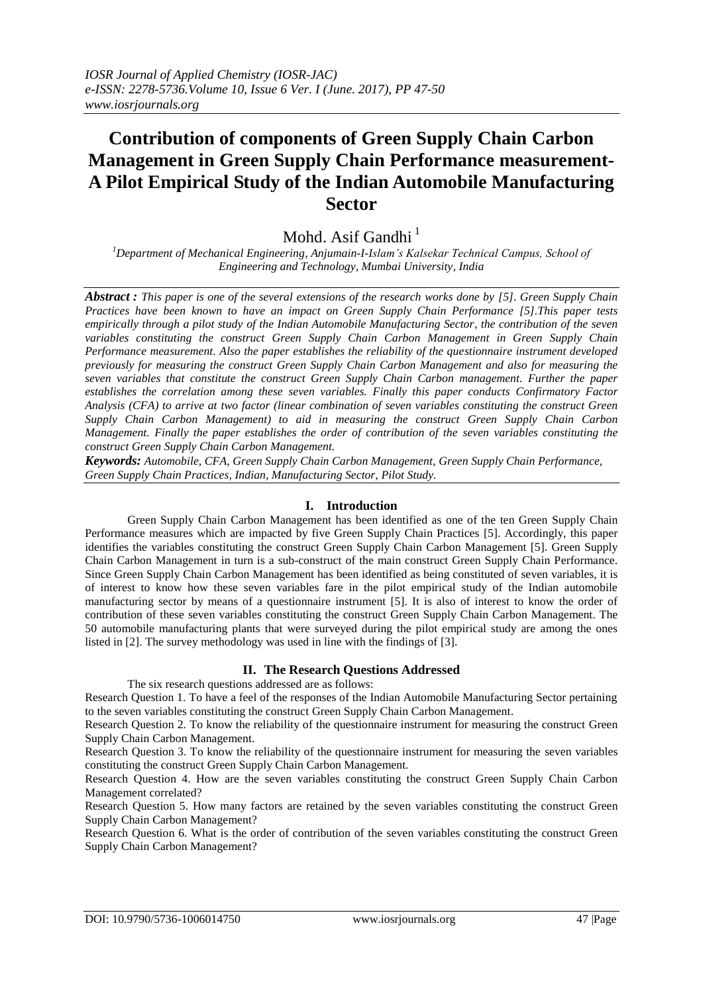# **Contribution of components of Green Supply Chain Carbon Management in Green Supply Chain Performance measurement-A Pilot Empirical Study of the Indian Automobile Manufacturing Sector**

Mohd. Asif Gandhi $<sup>1</sup>$ </sup>

*<sup>1</sup>Department of Mechanical Engineering, Anjumain-I-Islam's Kalsekar Technical Campus, School of Engineering and Technology, Mumbai University, India*

*Abstract : This paper is one of the several extensions of the research works done by [5]. Green Supply Chain Practices have been known to have an impact on Green Supply Chain Performance [5].This paper tests empirically through a pilot study of the Indian Automobile Manufacturing Sector, the contribution of the seven variables constituting the construct Green Supply Chain Carbon Management in Green Supply Chain Performance measurement. Also the paper establishes the reliability of the questionnaire instrument developed previously for measuring the construct Green Supply Chain Carbon Management and also for measuring the seven variables that constitute the construct Green Supply Chain Carbon management. Further the paper establishes the correlation among these seven variables. Finally this paper conducts Confirmatory Factor Analysis (CFA) to arrive at two factor (linear combination of seven variables constituting the construct Green Supply Chain Carbon Management) to aid in measuring the construct Green Supply Chain Carbon Management. Finally the paper establishes the order of contribution of the seven variables constituting the construct Green Supply Chain Carbon Management.*

*Keywords: Automobile, CFA, Green Supply Chain Carbon Management, Green Supply Chain Performance, Green Supply Chain Practices, Indian, Manufacturing Sector, Pilot Study.*

# **I. Introduction**

Green Supply Chain Carbon Management has been identified as one of the ten Green Supply Chain Performance measures which are impacted by five Green Supply Chain Practices [5]. Accordingly, this paper identifies the variables constituting the construct Green Supply Chain Carbon Management [5]. Green Supply Chain Carbon Management in turn is a sub-construct of the main construct Green Supply Chain Performance. Since Green Supply Chain Carbon Management has been identified as being constituted of seven variables, it is of interest to know how these seven variables fare in the pilot empirical study of the Indian automobile manufacturing sector by means of a questionnaire instrument [5]. It is also of interest to know the order of contribution of these seven variables constituting the construct Green Supply Chain Carbon Management. The 50 automobile manufacturing plants that were surveyed during the pilot empirical study are among the ones listed in [2]. The survey methodology was used in line with the findings of [3].

# **II. The Research Questions Addressed**

The six research questions addressed are as follows:

Research Question 1. To have a feel of the responses of the Indian Automobile Manufacturing Sector pertaining to the seven variables constituting the construct Green Supply Chain Carbon Management.

Research Question 2. To know the reliability of the questionnaire instrument for measuring the construct Green Supply Chain Carbon Management.

Research Question 3. To know the reliability of the questionnaire instrument for measuring the seven variables constituting the construct Green Supply Chain Carbon Management.

Research Question 4. How are the seven variables constituting the construct Green Supply Chain Carbon Management correlated?

Research Question 5. How many factors are retained by the seven variables constituting the construct Green Supply Chain Carbon Management?

Research Question 6. What is the order of contribution of the seven variables constituting the construct Green Supply Chain Carbon Management?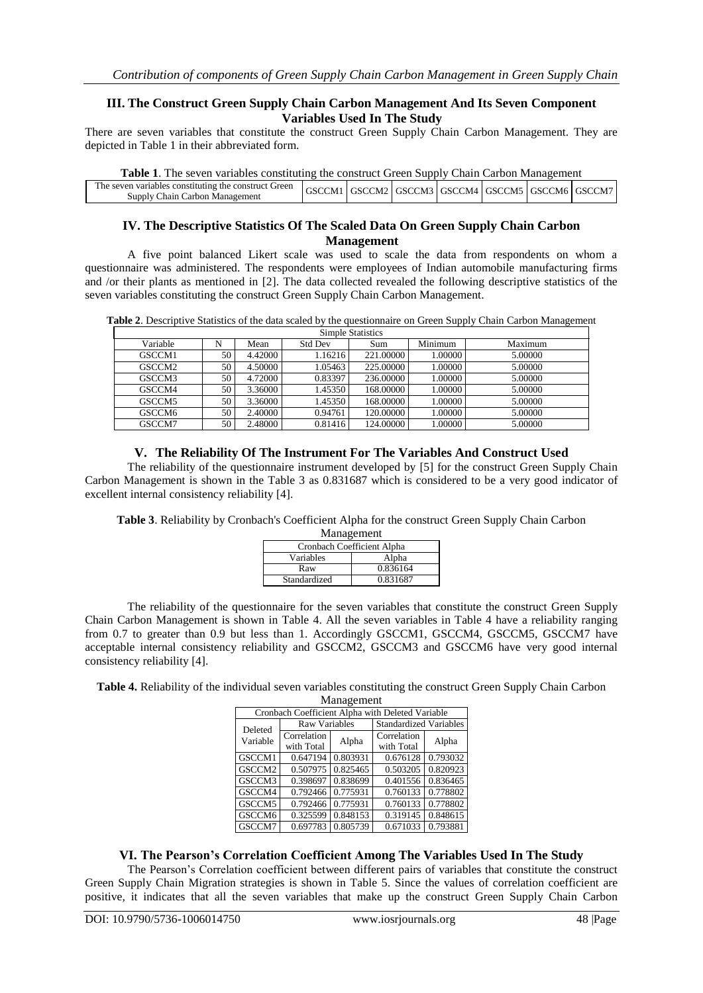# **III. The Construct Green Supply Chain Carbon Management And Its Seven Component Variables Used In The Study**

There are seven variables that constitute the construct Green Supply Chain Carbon Management. They are depicted in Table 1 in their abbreviated form.

| <b>Table 1.</b> The seven variables constituting the construct Green Supply Chain Carbon Management |                                                                                                          |  |  |  |  |  |  |
|-----------------------------------------------------------------------------------------------------|----------------------------------------------------------------------------------------------------------|--|--|--|--|--|--|
| The seven variables constituting the construct Green<br>Supply Chain Carbon Management              | $\vert$ GSCCM1 $\vert$ GSCCM2 $\vert$ GSCCM3 $\vert$ GSCCM4 $\vert$ GSCCM5 $\vert$ GSCCM6 $\vert$ GSCCM7 |  |  |  |  |  |  |

## **IV. The Descriptive Statistics Of The Scaled Data On Green Supply Chain Carbon Management**

A five point balanced Likert scale was used to scale the data from respondents on whom a questionnaire was administered. The respondents were employees of Indian automobile manufacturing firms and /or their plants as mentioned in [2]. The data collected revealed the following descriptive statistics of the seven variables constituting the construct Green Supply Chain Carbon Management.

**Table 2**. Descriptive Statistics of the data scaled by the questionnaire on Green Supply Chain Carbon Management

| <b>Simple Statistics</b> |    |         |                |           |         |         |  |
|--------------------------|----|---------|----------------|-----------|---------|---------|--|
| Variable                 | N  | Mean    | <b>Std Dev</b> | Sum       | Minimum | Maximum |  |
| GSCCM1                   | 50 | 4.42000 | 1.16216        | 221.00000 | 1.00000 | 5.00000 |  |
| GSCCM <sub>2</sub>       | 50 | 4.50000 | 1.05463        | 225,00000 | 1.00000 | 5.00000 |  |
| GSCCM3                   | 50 | 4.72000 | 0.83397        | 236,00000 | 1.00000 | 5.00000 |  |
| GSCCM4                   | 50 | 3.36000 | 1.45350        | 168,00000 | 1.00000 | 5.00000 |  |
| GSCCM5                   | 50 | 3.36000 | 1.45350        | 168,00000 | 1.00000 | 5.00000 |  |
| GSCCM6                   | 50 | 2.40000 | 0.94761        | 120.00000 | 1.00000 | 5.00000 |  |
| GSCCM7                   | 50 | 2.48000 | 0.81416        | 124.00000 | 1.00000 | 5.00000 |  |

# **V. The Reliability Of The Instrument For The Variables And Construct Used**

The reliability of the questionnaire instrument developed by [5] for the construct Green Supply Chain Carbon Management is shown in the Table 3 as 0.831687 which is considered to be a very good indicator of excellent internal consistency reliability [4].

**Table 3**. Reliability by Cronbach's Coefficient Alpha for the construct Green Supply Chain Carbon

| Management                 |          |  |  |  |
|----------------------------|----------|--|--|--|
| Cronbach Coefficient Alpha |          |  |  |  |
| Variables                  | Alpha    |  |  |  |
| Raw                        | 0.836164 |  |  |  |
| Standardized               | 0.831687 |  |  |  |

The reliability of the questionnaire for the seven variables that constitute the construct Green Supply Chain Carbon Management is shown in Table 4. All the seven variables in Table 4 have a reliability ranging from 0.7 to greater than 0.9 but less than 1. Accordingly GSCCM1, GSCCM4, GSCCM5, GSCCM7 have acceptable internal consistency reliability and GSCCM2, GSCCM3 and GSCCM6 have very good internal consistency reliability [4].

**Table 4.** Reliability of the individual seven variables constituting the construct Green Supply Chain Carbon Managament

| management                                       |                           |          |                               |          |  |  |  |
|--------------------------------------------------|---------------------------|----------|-------------------------------|----------|--|--|--|
| Cronbach Coefficient Alpha with Deleted Variable |                           |          |                               |          |  |  |  |
| Deleted                                          | Raw Variables             |          | <b>Standardized Variables</b> |          |  |  |  |
| Variable                                         | Correlation<br>with Total | Alpha    | Correlation<br>with Total     | Alpha    |  |  |  |
| GSCCM1                                           | 0.647194                  | 0.803931 | 0.676128                      | 0.793032 |  |  |  |
| GSCCM2                                           | 0.507975                  | 0.825465 | 0.503205                      | 0.820923 |  |  |  |
| GSCCM3                                           | 0.398697                  | 0.838699 | 0.401556                      | 0.836465 |  |  |  |
| GSCCM4                                           | 0.792466                  | 0.775931 | 0.760133                      | 0.778802 |  |  |  |
| GSCCM5                                           | 0.792466                  | 0.775931 | 0.760133                      | 0.778802 |  |  |  |
| GSCCM6                                           | 0.325599                  | 0.848153 | 0.319145                      | 0.848615 |  |  |  |
| GSCCM7                                           | 0.697783                  | 0.805739 | 0.671033                      | 0.793881 |  |  |  |

# **VI. The Pearson's Correlation Coefficient Among The Variables Used In The Study**

The Pearson's Correlation coefficient between different pairs of variables that constitute the construct Green Supply Chain Migration strategies is shown in Table 5. Since the values of correlation coefficient are positive, it indicates that all the seven variables that make up the construct Green Supply Chain Carbon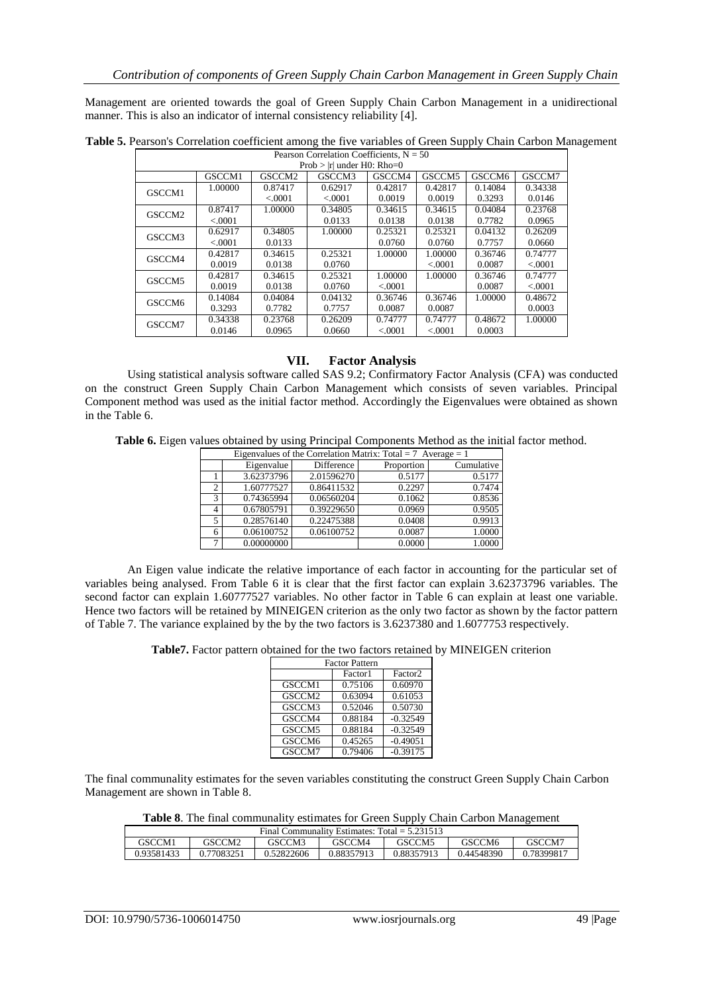Management are oriented towards the goal of Green Supply Chain Carbon Management in a unidirectional manner. This is also an indicator of internal consistency reliability [4].

**Table 5.** Pearson's Correlation coefficient among the five variables of Green Supply Chain Carbon Management Pearson Correlation Coefficients,  $N = 50$ 

| $Prob >  r $ under $H0$ : Rho=0 |          |                    |          |          |                    |         |         |
|---------------------------------|----------|--------------------|----------|----------|--------------------|---------|---------|
|                                 | GSCCM1   | GSCCM <sub>2</sub> | GSCCM3   | GSCCM4   | GSCCM <sub>5</sub> | GSCCM6  | GSCCM7  |
| GSCCM1                          | 1.00000  | 0.87417            | 0.62917  | 0.42817  | 0.42817            | 0.14084 | 0.34338 |
|                                 |          | < .0001            | < 0.0001 | 0.0019   | 0.0019             | 0.3293  | 0.0146  |
| GSCCM <sub>2</sub>              | 0.87417  | 1.00000            | 0.34805  | 0.34615  | 0.34615            | 0.04084 | 0.23768 |
|                                 | < 0.0001 |                    | 0.0133   | 0.0138   | 0.0138             | 0.7782  | 0.0965  |
| GSCCM3                          | 0.62917  | 0.34805            | 1.00000  | 0.25321  | 0.25321            | 0.04132 | 0.26209 |
|                                 | < 0.0001 | 0.0133             |          | 0.0760   | 0.0760             | 0.7757  | 0.0660  |
| GSCCM4                          | 0.42817  | 0.34615            | 0.25321  | 1.00000  | 1.00000            | 0.36746 | 0.74777 |
|                                 | 0.0019   | 0.0138             | 0.0760   |          | < .0001            | 0.0087  | < .0001 |
| GSCCM <sub>5</sub>              | 0.42817  | 0.34615            | 0.25321  | 1.00000  | 1.00000            | 0.36746 | 0.74777 |
|                                 | 0.0019   | 0.0138             | 0.0760   | < 0.0001 |                    | 0.0087  | < .0001 |
| GSCCM6                          | 0.14084  | 0.04084            | 0.04132  | 0.36746  | 0.36746            | 1.00000 | 0.48672 |
|                                 | 0.3293   | 0.7782             | 0.7757   | 0.0087   | 0.0087             |         | 0.0003  |
| GSCCM7                          | 0.34338  | 0.23768            | 0.26209  | 0.74777  | 0.74777            | 0.48672 | 1.00000 |
|                                 | 0.0146   | 0.0965             | 0.0660   | < 0.0001 | < 0.0001           | 0.0003  |         |

## **VII. Factor Analysis**

Using statistical analysis software called SAS 9.2; Confirmatory Factor Analysis (CFA) was conducted on the construct Green Supply Chain Carbon Management which consists of seven variables. Principal Component method was used as the initial factor method. Accordingly the Eigenvalues were obtained as shown in the Table 6.

**Table 6.** Eigen values obtained by using Principal Components Method as the initial factor method.

|                | Eigenvalues of the Correlation Matrix: Total = 7 Average = 1 |            |            |            |  |  |  |  |
|----------------|--------------------------------------------------------------|------------|------------|------------|--|--|--|--|
|                | Eigenvalue                                                   | Difference | Proportion | Cumulative |  |  |  |  |
|                | 3.62373796                                                   | 2.01596270 | 0.5177     | 0.5177     |  |  |  |  |
| $\overline{c}$ | 1.60777527                                                   | 0.86411532 | 0.2297     | 0.7474     |  |  |  |  |
| 3              | 0.74365994                                                   | 0.06560204 | 0.1062     | 0.8536     |  |  |  |  |
| 4              | 0.67805791                                                   | 0.39229650 | 0.0969     | 0.9505     |  |  |  |  |
| 5              | 0.28576140                                                   | 0.22475388 | 0.0408     | 0.9913     |  |  |  |  |
| 6              | 0.06100752                                                   | 0.06100752 | 0.0087     | 1.0000     |  |  |  |  |
|                | 0.00000000                                                   |            | 0.0000     | 1.0000     |  |  |  |  |

An Eigen value indicate the relative importance of each factor in accounting for the particular set of variables being analysed. From Table 6 it is clear that the first factor can explain 3.62373796 variables. The second factor can explain 1.60777527 variables. No other factor in Table 6 can explain at least one variable. Hence two factors will be retained by MINEIGEN criterion as the only two factor as shown by the factor pattern of Table 7. The variance explained by the by the two factors is 3.6237380 and 1.6077753 respectively.

**Table7.** Factor pattern obtained for the two factors retained by MINEIGEN criterion

| <b>Factor Pattern</b> |         |                     |  |  |  |
|-----------------------|---------|---------------------|--|--|--|
|                       | Factor1 | Factor <sub>2</sub> |  |  |  |
| GSCCM1                | 0.75106 | 0.60970             |  |  |  |
| GSCCM2                | 0.63094 | 0.61053             |  |  |  |
| GSCCM3                | 0.52046 | 0.50730             |  |  |  |
| GSCCM4                | 0.88184 | $-0.32549$          |  |  |  |
| GSCCM5                | 0.88184 | $-0.32549$          |  |  |  |
| GSCCM6                | 0.45265 | $-0.49051$          |  |  |  |
| GSCCM7                | 0.79406 | $-0.39175$          |  |  |  |

The final communality estimates for the seven variables constituting the construct Green Supply Chain Carbon Management are shown in Table 8.

| Table 8. The final communality estimates for Green Supply Chain Carbon Management |  |  |
|-----------------------------------------------------------------------------------|--|--|
|-----------------------------------------------------------------------------------|--|--|

| Final Communality Estimates: $Total = 5.231513$ |            |            |            |            |            |            |  |
|-------------------------------------------------|------------|------------|------------|------------|------------|------------|--|
| GSCCM1                                          | GSCCM2     | GSCCM3     | GSCCM4     | GSCCM5     | GSCCM6     | GSCCM7     |  |
| 0.93581433                                      | 0.77083251 | 0.52822606 | 0.88357913 | 0.88357913 | 0.44548390 | 0.78399817 |  |